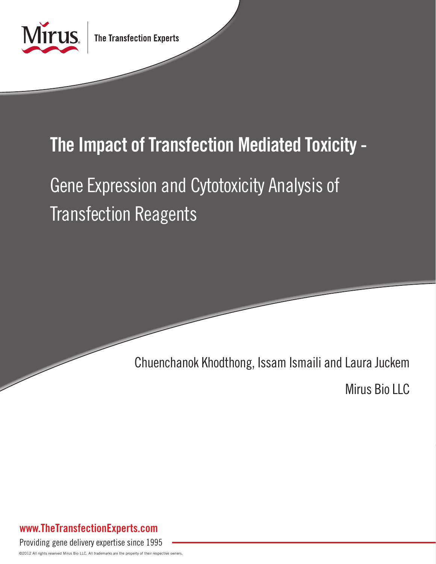

## The Impact of Transfection Mediated Toxicity -

# Gene Expression and Cytotoxicity Analysis of Transfection Reagents

Chuenchanok Khodthong, Issam Ismaili and Laura Juckem

Mirus Bio LLC

## www.TheTransfectionExperts.com

Providing gene delivery expertise since 1995

©2012 All rights reserved Mirus Bio LLC. All trademarks are the property of their respective owners.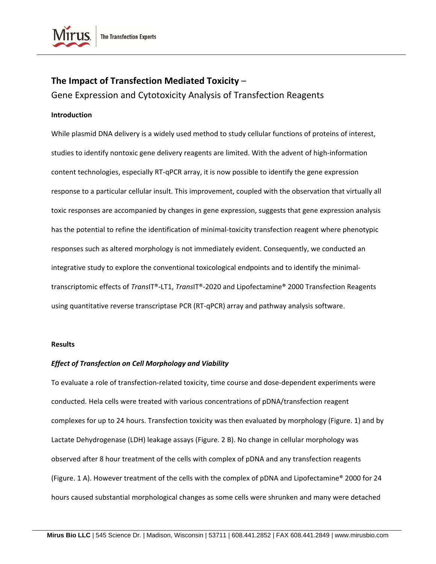

### **The Impact of Transfection Mediated Toxicity** – Gene Expression and Cytotoxicity Analysis of Transfection Reagents

#### **Introduction**

While plasmid DNA delivery is a widely used method to study cellular functions of proteins of interest, studies to identify nontoxic gene delivery reagents are limited. With the advent of high‐information content technologies, especially RT‐qPCR array, it is now possible to identify the gene expression response to a particular cellular insult. This improvement, coupled with the observation that virtually all toxic responses are accompanied by changes in gene expression, suggests that gene expression analysis has the potential to refine the identification of minimal-toxicity transfection reagent where phenotypic responses such as altered morphology is not immediately evident. Consequently, we conducted an integrative study to explore the conventional toxicological endpoints and to identify the minimaltranscriptomic effects of *Trans*IT®‐LT1, *Trans*IT®‐2020 and Lipofectamine® 2000 Transfection Reagents using quantitative reverse transcriptase PCR (RT‐qPCR) array and pathway analysis software.

#### **Results**

#### *Effect of Transfection on Cell Morphology and Viability*

To evaluate a role of transfection‐related toxicity, time course and dose‐dependent experiments were conducted. Hela cells were treated with various concentrations of pDNA/transfection reagent complexes for up to 24 hours. Transfection toxicity was then evaluated by morphology (Figure. 1) and by Lactate Dehydrogenase (LDH) leakage assays (Figure. 2 B). No change in cellular morphology was observed after 8 hour treatment of the cells with complex of pDNA and any transfection reagents (Figure. 1 A). However treatment of the cells with the complex of pDNA and Lipofectamine® 2000 for 24 hours caused substantial morphological changes as some cells were shrunken and many were detached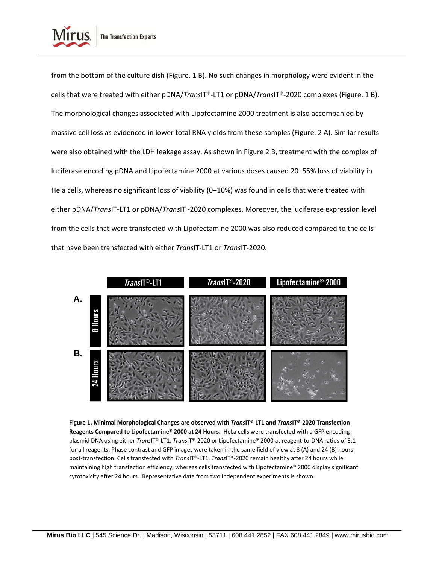

from the bottom of the culture dish (Figure. 1 B). No such changes in morphology were evident in the cells that were treated with either pDNA/*Trans*IT®‐LT1 or pDNA/*Trans*IT®‐2020 complexes (Figure. 1 B). The morphological changes associated with Lipofectamine 2000 treatment is also accompanied by massive cell loss as evidenced in lower total RNA yields from these samples (Figure. 2 A). Similar results were also obtained with the LDH leakage assay. As shown in Figure 2 B, treatment with the complex of luciferase encoding pDNA and Lipofectamine 2000 at various doses caused 20–55% loss of viability in Hela cells, whereas no significant loss of viability (0-10%) was found in cells that were treated with either pDNA/*Trans*IT‐LT1 or pDNA/*Trans*IT ‐2020 complexes. Moreover, the luciferase expression level from the cells that were transfected with Lipofectamine 2000 was also reduced compared to the cells that have been transfected with either *Trans*IT‐LT1 or *Trans*IT‐2020.



Figure 1. Minimal Morphological Changes are observed with TransIT®-LT1 and TransIT®-2020 Transfection **Reagents Compared to Lipofectamine® 2000 at 24 Hours.** HeLa cells were transfected with a GFP encoding plasmid DNA using either *Trans*IT®‐LT1, *Trans*IT®‐2020 or Lipofectamine® 2000 at reagent‐to‐DNA ratios of 3:1 for all reagents. Phase contrast and GFP images were taken in the same field of view at 8 (A) and 24 (B) hours post‐transfection. Cells transfected with *Trans*IT®‐LT1, *Trans*IT®‐2020 remain healthy after 24 hours while maintaining high transfection efficiency, whereas cells transfected with Lipofectamine® 2000 display significant cytotoxicity after 24 hours. Representative data from two independent experiments is shown.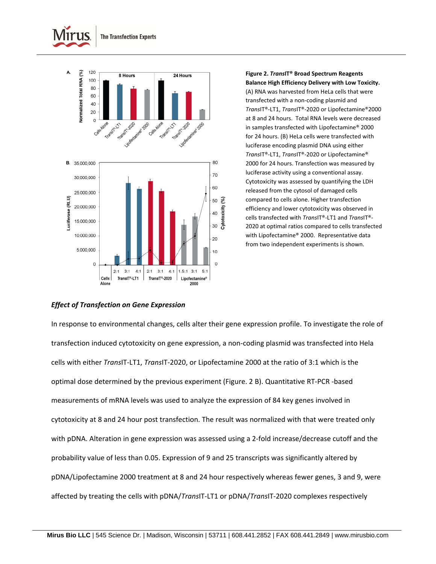



**Figure 2.** *Trans***IT® Broad Spectrum Reagents Balance High Efficiency Delivery with Low Toxicity.**

(A) RNA was harvested from HeLa cells that were transfected with a non‐coding plasmid and *Trans*IT®‐LT1, *Trans*IT®‐2020 or Lipofectamine®2000 at 8 and 24 hours. Total RNA levels were decreased in samples transfected with Lipofectamine® 2000 for 24 hours. (B) HeLa cells were transfected with luciferase encoding plasmid DNA using either *Trans*IT®‐LT1, *Trans*IT®‐2020 or Lipofectamine® 2000 for 24 hours. Transfection was measured by luciferase activity using a conventional assay. Cytotoxicity was assessed by quantifying the LDH released from the cytosol of damaged cells compared to cells alone. Higher transfection efficiency and lower cytotoxicity was observed in cells transfected with *Trans*IT®‐LT1 and *Trans*IT®‐ 2020 at optimal ratios compared to cells transfected with Lipofectamine® 2000. Representative data from two independent experiments is shown.

#### *Effect of Transfection on Gene Expression*

In response to environmental changes, cells alter their gene expression profile. To investigate the role of transfection induced cytotoxicity on gene expression, a non‐coding plasmid was transfected into Hela cells with either *Trans*IT‐LT1, *Trans*IT‐2020, or Lipofectamine 2000 at the ratio of 3:1 which is the optimal dose determined by the previous experiment (Figure. 2 B). Quantitative RT‐PCR ‐based measurements of mRNA levels was used to analyze the expression of 84 key genes involved in cytotoxicity at 8 and 24 hour post transfection. The result was normalized with that were treated only with pDNA. Alteration in gene expression was assessed using a 2-fold increase/decrease cutoff and the probability value of less than 0.05. Expression of 9 and 25 transcripts was significantly altered by pDNA/Lipofectamine 2000 treatment at 8 and 24 hour respectively whereas fewer genes, 3 and 9, were affected by treating the cells with pDNA/*Trans*IT‐LT1 or pDNA/*Trans*IT‐2020 complexes respectively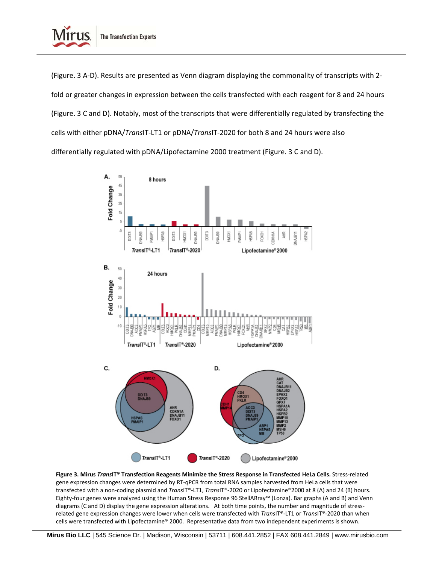

(Figure. 3 A‐D). Results are presented as Venn diagram displaying the commonality of transcripts with 2‐ fold or greater changes in expression between the cells transfected with each reagent for 8 and 24 hours (Figure. 3 C and D). Notably, most of the transcripts that were differentially regulated by transfecting the cells with either pDNA/*Trans*IT‐LT1 or pDNA/*Trans*IT‐2020 for both 8 and 24 hours were also differentially regulated with pDNA/Lipofectamine 2000 treatment (Figure. 3 C and D).



**Figure 3. Mirus** *Trans***IT® Transfection Reagents Minimize the Stress Response in Transfected HeLa Cells.** Stress‐related gene expression changes were determined by RT‐qPCR from total RNA samples harvested from HeLa cells that were transfected with a non‐coding plasmid and *Trans*IT®‐LT1, *Trans*IT®‐2020 or Lipofectamine®2000 at 8 (A) and 24 (B) hours. Eighty‐four genes were analyzed using the Human Stress Response 96 StellARray™ (Lonza). Bar graphs (A and B) and Venn diagrams (C and D) display the gene expression alterations. At both time points, the number and magnitude of stressrelated gene expression changes were lower when cells were transfected with *Trans*IT®‐LT1 or *Trans*IT®‐2020 than when cells were transfected with Lipofectamine® 2000. Representative data from two independent experiments is shown.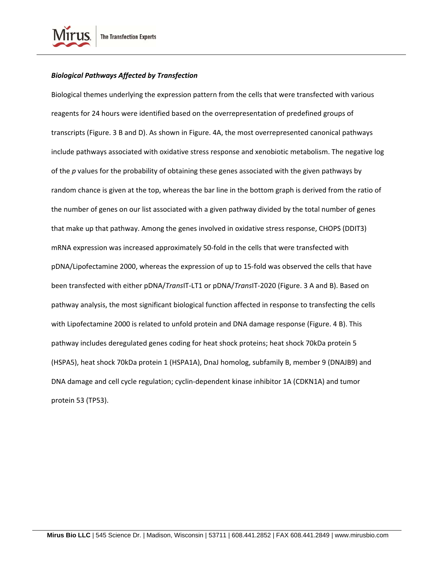

#### *Biological Pathways Affected by Transfection*

Biological themes underlying the expression pattern from the cells that were transfected with various reagents for 24 hours were identified based on the overrepresentation of predefined groups of transcripts (Figure. 3 B and D). As shown in Figure. 4A, the most overrepresented canonical pathways include pathways associated with oxidative stress response and xenobiotic metabolism. The negative log of the *p* values for the probability of obtaining these genes associated with the given pathways by random chance is given at the top, whereas the bar line in the bottom graph is derived from the ratio of the number of genes on our list associated with a given pathway divided by the total number of genes that make up that pathway. Among the genes involved in oxidative stress response, CHOPS (DDIT3) mRNA expression was increased approximately 50‐fold in the cells that were transfected with pDNA/Lipofectamine 2000, whereas the expression of up to 15‐fold was observed the cells that have been transfected with either pDNA/*Trans*IT‐LT1 or pDNA/*Trans*IT‐2020 (Figure. 3 A and B). Based on pathway analysis, the most significant biological function affected in response to transfecting the cells with Lipofectamine 2000 is related to unfold protein and DNA damage response (Figure. 4 B). This pathway includes deregulated genes coding for heat shock proteins; heat shock 70kDa protein 5 (HSPA5), heat shock 70kDa protein 1 (HSPA1A), DnaJ homolog, subfamily B, member 9 (DNAJB9) and DNA damage and cell cycle regulation; cyclin‐dependent kinase inhibitor 1A (CDKN1A) and tumor protein 53 (TP53).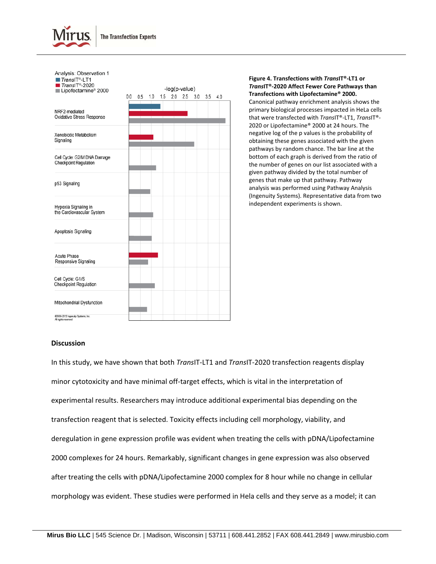

| Analysis: Observation 1<br>$TransIT®-LT1$<br>$TransIT0-2020$ | -log(p-value) |     |     |     |     |     |     |     |     |
|--------------------------------------------------------------|---------------|-----|-----|-----|-----|-----|-----|-----|-----|
| Lipofectamine <sup>®</sup> 2000                              | 0.0           | 0.5 | 1.0 | 1.5 | 2.0 | 2.5 | 3.0 | 3.5 | 4.0 |
| NRF2-mediated<br>Oxidative Stress Response                   |               |     |     |     |     |     |     |     |     |
| Xenobiotic Metabolism<br>Signaling                           |               |     |     |     |     |     |     |     |     |
| Cell Cycle: G2/M DNA Damage<br><b>Checkpoint Regulation</b>  |               |     |     |     |     |     |     |     |     |
| p53 Signaling                                                |               |     |     |     |     |     |     |     |     |
| Hypoxia Signaling in<br>the Cardiovascular System            |               |     |     |     |     |     |     |     |     |
| Apoptosis Signaling                                          |               |     |     |     |     |     |     |     |     |
| Acute Phase<br>Responsive Signaling                          |               |     |     |     |     |     |     |     |     |
| Cell Cycle: G1/S<br><b>Checkpoint Regulation</b>             |               |     |     |     |     |     |     |     |     |
| Mitochondrial Dysfunction                                    |               |     |     |     |     |     |     |     |     |
| 62000-2012 Ingenuity Systems, Inc.<br>All rights reserved    |               |     |     |     |     |     |     |     |     |

**Figure 4. Transfections with** *Trans***IT®‐LT1 or** *Trans***IT®‐2020 Affect Fewer Core Pathways than Transfections with Lipofectamine® 2000.** Canonical pathway enrichment analysis shows the primary biological processes impacted in HeLa cells that were transfected with *Trans*IT®‐LT1, *Trans*IT®‐ 2020 or Lipofectamine® 2000 at 24 hours. The negative log of the p values is the probability of obtaining these genes associated with the given pathways by random chance. The bar line at the bottom of each graph is derived from the ratio of the number of genes on our list associated with a given pathway divided by the total number of genes that make up that pathway. Pathway analysis was performed using Pathway Analysis (Ingenuity Systems). Representative data from two independent experiments is shown.

#### **Discussion**

In this study, we have shown that both *Trans*IT‐LT1 and *Trans*IT‐2020 transfection reagents display minor cytotoxicity and have minimal off‐target effects, which is vital in the interpretation of experimental results. Researchers may introduce additional experimental bias depending on the transfection reagent that is selected. Toxicity effects including cell morphology, viability, and deregulation in gene expression profile was evident when treating the cells with pDNA/Lipofectamine 2000 complexes for 24 hours. Remarkably, significant changes in gene expression was also observed after treating the cells with pDNA/Lipofectamine 2000 complex for 8 hour while no change in cellular morphology was evident. These studies were performed in Hela cells and they serve as a model; it can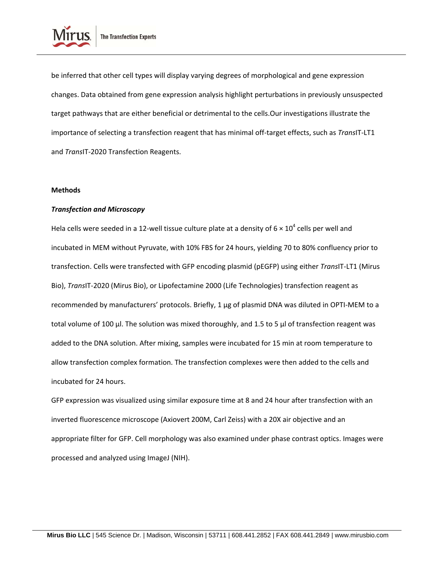

be inferred that other cell types will display varying degrees of morphological and gene expression changes. Data obtained from gene expression analysis highlight perturbations in previously unsuspected target pathways that are either beneficial or detrimental to the cells.Our investigations illustrate the importance of selecting a transfection reagent that has minimal off‐target effects, such as *Trans*IT‐LT1 and *Trans*IT‐2020 Transfection Reagents.

#### **Methods**

#### *Transfection and Microscopy*

Hela cells were seeded in a 12-well tissue culture plate at a density of  $6 \times 10^4$  cells per well and incubated in MEM without Pyruvate, with 10% FBS for 24 hours, yielding 70 to 80% confluency prior to transfection. Cells were transfected with GFP encoding plasmid (pEGFP) using either *Trans*IT‐LT1 (Mirus Bio), *Trans*IT‐2020 (Mirus Bio), or Lipofectamine 2000 (Life Technologies) transfection reagent as recommended by manufacturers' protocols. Briefly, 1 μg of plasmid DNA was diluted in OPTI‐MEM to a total volume of 100 μl. The solution was mixed thoroughly, and 1.5 to 5 μl of transfection reagent was added to the DNA solution. After mixing, samples were incubated for 15 min at room temperature to allow transfection complex formation. The transfection complexes were then added to the cells and incubated for 24 hours.

GFP expression was visualized using similar exposure time at 8 and 24 hour after transfection with an inverted fluorescence microscope (Axiovert 200M, Carl Zeiss) with a 20X air objective and an appropriate filter for GFP. Cell morphology was also examined under phase contrast optics. Images were processed and analyzed using ImageJ (NIH).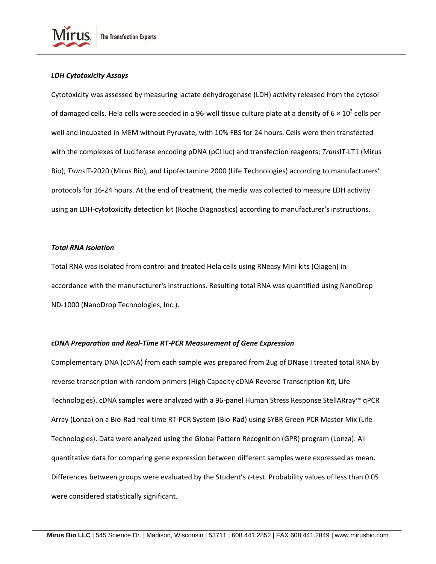

Cytotoxicity was assessed by measuring lactate dehydrogenase (LDH) activity released from the cytosol of damaged cells. Hela cells were seeded in a 96-well tissue culture plate at a density of  $6 \times 10^3$  cells per well and incubated in MEM without Pyruvate, with 10% FBS for 24 hours. Cells were then transfected with the complexes of Luciferase encoding pDNA (pCI luc) and transfection reagents; *Trans*IT‐LT1 (Mirus Bio), *Trans*IT‐2020 (Mirus Bio), and Lipofectamine 2000 (Life Technologies) according to manufacturers' protocols for 16‐24 hours. At the end of treatment, the media was collected to measure LDH activity using an LDH‐cytotoxicity detection kit (Roche Diagnostics) according to manufacturer's instructions.

#### *Total RNA Isolation*

Total RNA was isolated from control and treated Hela cells using RNeasy Mini kits (Qiagen) in accordance with the manufacturer's instructions. Resulting total RNA was quantified using NanoDrop ND‐1000 (NanoDrop Technologies, Inc.).

#### *cDNA Preparation and Real‐Time RT‐PCR Measurement of Gene Expression*

Complementary DNA (cDNA) from each sample was prepared from 2ug of DNase I treated total RNA by reverse transcription with random primers (High Capacity cDNA Reverse Transcription Kit, Life Technologies). cDNA samples were analyzed with a 96‐panel Human Stress Response StellARray™ qPCR Array (Lonza) on a Bio‐Rad real‐time RT‐PCR System (Bio‐Rad) using SYBR Green PCR Master Mix (Life Technologies). Data were analyzed using the Global Pattern Recognition (GPR) program (Lonza). All quantitative data for comparing gene expression between different samples were expressed as mean. Differences between groups were evaluated by the Student's t-test. Probability values of less than 0.05 were considered statistically significant.